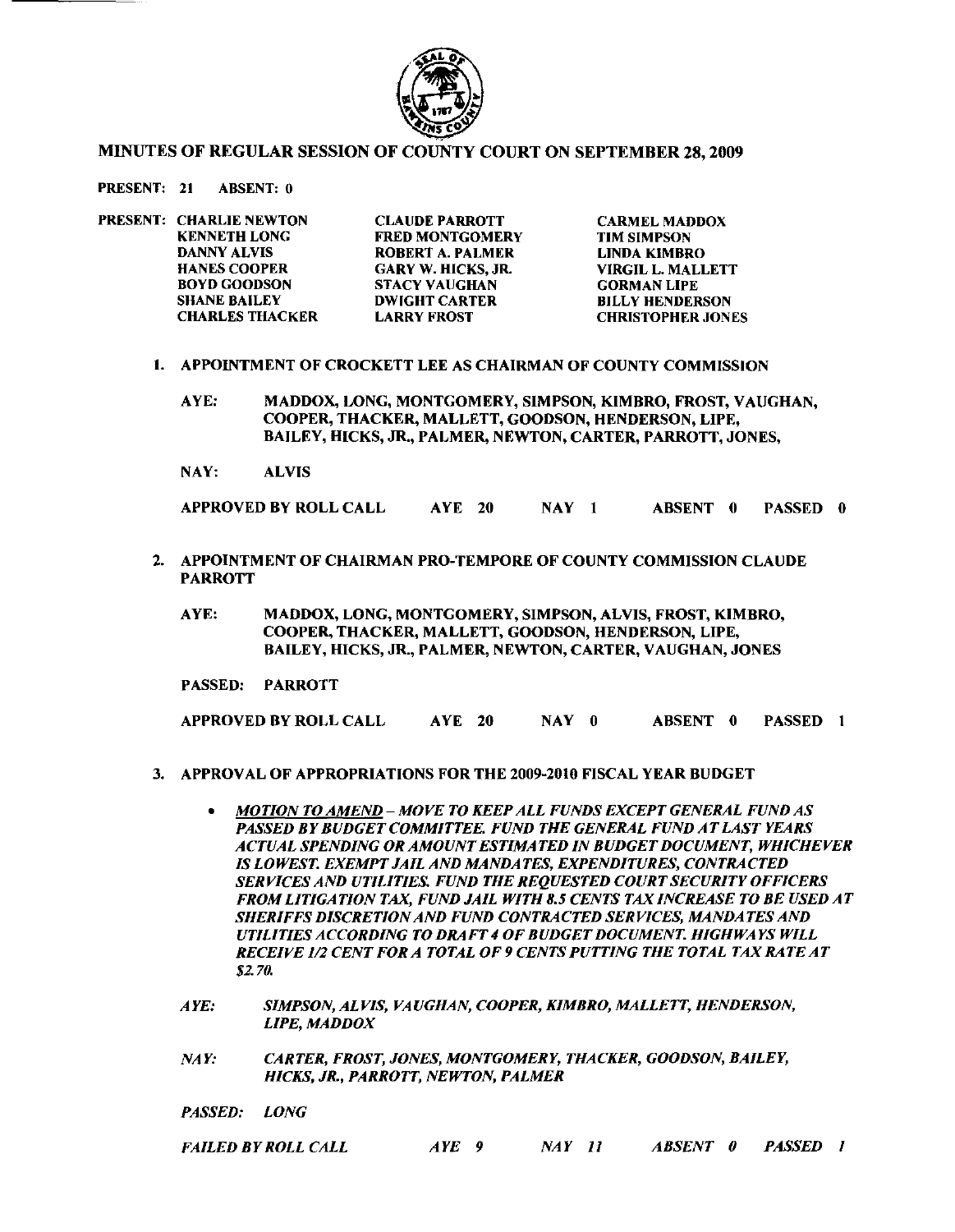

## MINUTES OF REGULAR SESSION OF COUNTY COURT ON SEPTEMBER 28, 2009

PRESENT: 21 ABSENT: 0

| PRESENT: CHARLIE NEWTON | <b>CLAUDE PARROTT</b>     | <b>CARMEL MADDOX</b>     |
|-------------------------|---------------------------|--------------------------|
| <b>KENNETH LONG</b>     | <b>FRED MONTGOMERY</b>    | <b>TIM SIMPSON</b>       |
| <b>DANNY ALVIS</b>      | <b>ROBERT A. PALMER</b>   | LINDA KIMBRO             |
| <b>HANES COOPER</b>     | <b>GARY W. HICKS, JR.</b> | VIRGIL L. MALLETT        |
| <b>BOYD GOODSON</b>     | <b>STACY VAUGHAN</b>      | <b>GORMAN LIPE</b>       |
| <b>SHANE BAILEY</b>     | <b>DWIGHT CARTER</b>      | <b>BILLY HENDERSON</b>   |
| <b>CHARLES THACKER</b>  | <b>LARRY FROST</b>        | <b>CHRISTOPHER JONES</b> |

- I. APPOINTMENT OF CROCKETT LEE AS CHAIRMAN OF COUNTY COMMISSION
	- AYE: MADDOX, LONG, MONTGOMERY, SIMPSON, KIMBRO, FROST, VAUGHAN, COOPER, THACKER, MALLETT, GOODSON, HENDERSON, LIPE, BAILEY, HICKS, JR., PALMER, NEWTON, CARTER, PARROTT, JONES,
	- NAY: ALVIS

APPROVED BY ROLL CALL AYE 20 NAY I ABSENT 0 PASSED 0

- 2. APPOINTMENT OF CHAIRMAN PRO-TEMPORE OF COUNTY COMMISSION CLAUDE PARROTT
	- AYE: MADDOX, LONG, MONTGOMERY, SIMPSON, ALVIS, FROST, KIMBRO, COOPER, THACKER, MALLETT, GOODSON, HENDERSON, LIPE, BAILEY, HICKS, JR., PALMER, NEWTON, CARTER, VAUGHAN, JONES
	- PASSED: PARROTT

APPROVED BY ROLL CALL AYE 20 NAY 0 ABSENT 0 PASSED 1

- 3. APPROVAL OF APPROPRIATIONS FOR THE 2009-2010 FISCAL YEAR BUDGET
	- *• MOTION TO AMEND MOVE TO KEEP ALL FUNDS EXCEPT GENERAL FUND AS PASSED BYBUDGETCOMMITTEE. FUND THE GENERAL FUND ATLAST YEARS ACTUAL SPENDING OR AMOUNTESTIMATED IN BUDGET DOCUMENT, WHICHEVER IS LOWEST. EXEMPT JAIL AND MANDATES, EXPENDITURES, CONTRACTED SERVICES AND UTILITIES. FUND THE REQUESTED COURT SECURITY OFFICERS FROM LITIGATION TAX, FUND JAIL WITH* 8.5 *CENTS TAX INCREASE TO BE USED AT SHERIFFS DISCRETIONAND FUND CONTRACTED SERVICES, MANDATES AND UTILITIES ACCORDING TO DRAFT* 4 *OF BUDGETDOCUMENT. HIGHWAYS WILL RECEIVE 1/2 CENT FOR A TOTAL OF* 9 *CENTS PUTTING THE TOTAL TAX RATEAT \$2. 70.*
	- *AYE: SIMPSON, ALVIS, VA UGHAN, COOPER, KIMBRO, MALLETT, HENDERSON, LlPE, MADDOX*
	- *NAY: CARTER, FROST, JONES, MONTGOMERY, THACKER, GOODSON, BAILEY, HICKS, JR., PARROTT, NEWTON, PALMER*
	- *PASSED: LONG*

| <b>FAILED BY ROLL CALL</b> | $AYE$ 9 |  | NAY 11 |  |  |  | ABSENT 0 PASSED 1 |  |
|----------------------------|---------|--|--------|--|--|--|-------------------|--|
|----------------------------|---------|--|--------|--|--|--|-------------------|--|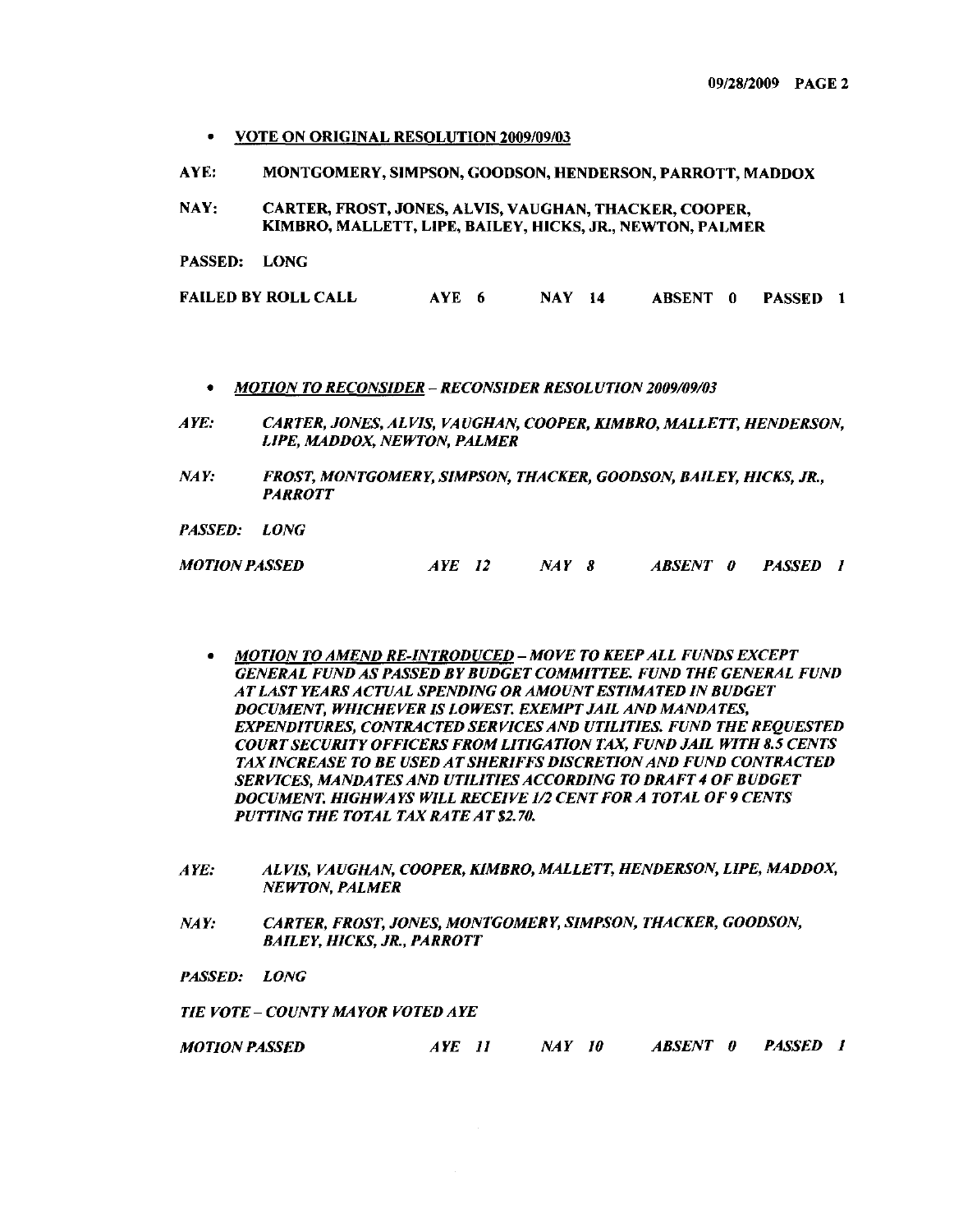- VOTE ON ORIGINAL RESOLUTION 2009/09/03
- AYE: MONTGOMERY, SIMPSON, GOODSON, HENDERSON, PARROTT, MADDOX
- NAY: CARTER, FROST, JONES, ALVIS, VAUGHAN, THACKER, COOPER, KIMBRO, MALLETT, L1PE, BAILEY, HICKS, JR., NEWTON, PALMER
- PASSED: LONG

| FAILED BY ROLL CALL | AYE 6 | <b>NAY</b> 14 |  | ABSENT 0 PASSED 1 |  |
|---------------------|-------|---------------|--|-------------------|--|
|                     |       |               |  |                   |  |

- *• MOTION TO RECONSIDER RECONSIDER RESOLUTION 1009109103*
- *A YE: CARTER, JONES, ALVIS, VA UGHAN, COOPER, KIMBRO, MALLETT, HENDERSON, LIPE, MADDOX, NEWTON, PALMER*
- *NAY: FROST, MONTGOMERY, SIMPSON, THACKER, GOODSON, BAILEY, HICKS, JR., PARROTT*

*PASSED: LONG*

*MOTION PASSED AYE 11 NAY 8 ABSENT 0 PASSED 1*

- *• MOTION TO AMEND RE-INTRODUCED MOVE TO KEEP ALL FUNDS EXCEPT GENERAL FUND AS PASSED BY BUDGET COMMITTEE. FUND THE GENERAL FUND ATLAST YEARS ACTUAL SPENDING OR AMOUNTESTIMATED IN BUDGET DOCUMENT, WHICHEVER IS LOWEST. EXEMPT JAIL AND MANDATES, EXPENDITURES, CONTRACTED SERVICES AND UTILITIES. FUND THE REQUESTED COURT SECURITY OFFICERS FROM LITIGATION TAX, FUND JAIL WITH* 8.5 *CENTS TAX INCREASE TO BE USED ATSHERIFFS DISCRETIONAND FUND CONTRACTED SERVICES, MANDATES AND UTILITIES ACCORDING TO DRAFT* 4 *OF BUDGET DOCUMENT. HIGHWAYS WILL RECEIVE 1/1 CENT FOR A TOTAL OF* 9 *CENTS PUTTING THE TOTAL TAX RATEAT \$1.70.*
- *AYE: ALVIS, VAUGHAN, COOPER, KIMBRO, MALLETT, HENDERSON, LIPE, MADDOX, NEWTON, PALMER*
- *NAY: CARTER, FROST, JONES, MONTGOMERY, SIMPSON, THACKER, GOODSON, BAILEY, HICKS, JR., PARROTT*
- *PASSED: LONG*

*TIE VOTE* - *COUNTY MAYOR VOTED AYE*

*MOTION PASSED AYE 11 NAY 10 ABSENT 0 PASSED I*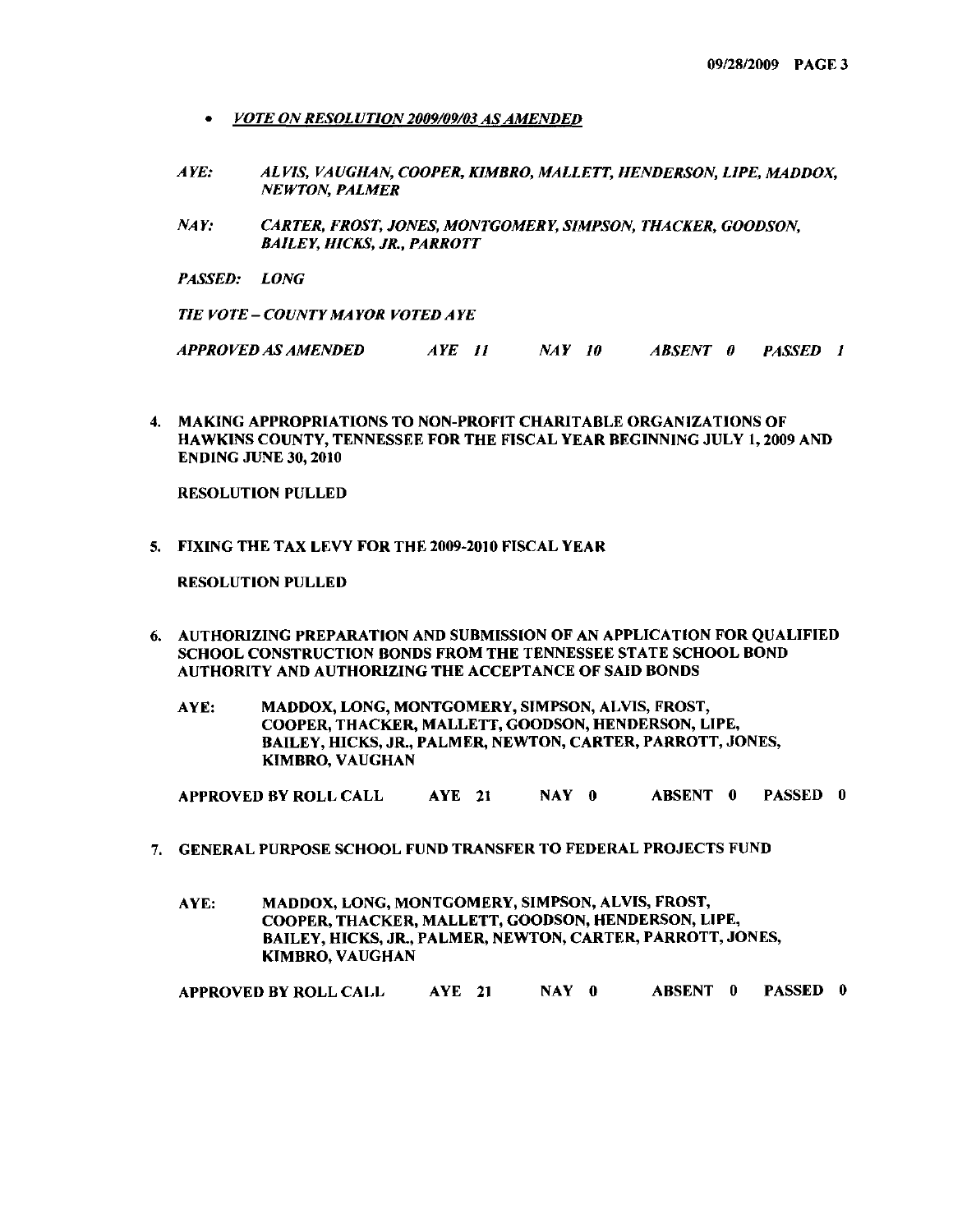- *• VOTE ON RESOLUTION2009109103 ASAMENDED*
- *A YE: ALVIS, VA UGHAN, COOPER, KIMBRO, MALLETT, HENDERSON, LlPE, MADDOX, NEWTON, PALMER*
- *NAY: CARTER, FROST, JONES, MONTGOMERY, SIMPSON, THACKER, GOODSON, BAlLEY, HICKS, JR., PARROTT*
- *PASSED: LONG*

*TIE VOTE* - *COUNTY MAYOR VOTED AYE*

*APPROVED AS AMENDED AYE 11 NAY 10 ABSENT 0 PASSED I*

4. MAKING APPROPRIATIONS TO NON-PROFIT CHARITABLE ORGANIZATIONS OF HAWKINS COUNTY, TENNESSEE FOR THE FISCAL YEAR BEGINNING JULY 1,2009 AND ENDING JUNE 30, 2010

RESOLUTION PULLED

5. FIXING THE TAX LEVY FOR THE 2009-2010 FISCAL YEAR

RESOLUTION PULLED

- 6. AUTHORIZING PREPARATION AND SUBMISSION OF AN APPLICATION FOR QUALIFIED SCHOOL CONSTRUCTION BONDS FROM THE TENNESSEE STATE SCHOOL BOND AUTHORITY AND AUTHORIZING THE ACCEPTANCE OF SAID BONDS
	- AYE: MADDOX, LONG, MONTGOMERY, SIMPSON, ALVIS, FROST, COOPER, THACKER, MALLETT, GOODSON, HENDERSON, LIPE, BAILEY, HICKS, JR., PALMER, NEWTON, CARTER, PARROTT, JONES, KIMBRO, VAUGHAN

APPROVED BY ROLL CALL AYE 21 NAY 0 ABSENT 0 PASSED 0

- 7. GENERAL PURPOSE SCHOOL FUND TRANSFER TO FEDERAL PROJECTS FUND
	- AYE: MADDOX, LONG, MONTGOMERY, SIMPSON, ALVIS, FROST, COOPER, THACKER, MALLETT, GOODSON, HENDERSON, L1PE, BAILEY, HICKS, JR., PALMER, NEWTON, CARTER, PARROTT, JONES, KIMBRO, VAUGHAN

APPROVED BY ROLL CALL AYE 21 NAY 0 ABSENT 0 PASSED 0